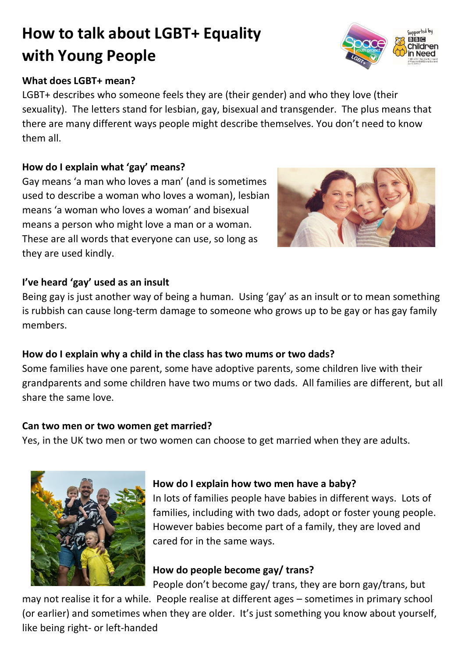# **How to talk about LGBT+ Equality with Young People**

### **What does LGBT+ mean?**

LGBT+ describes who someone feels they are (their gender) and who they love (their sexuality). The letters stand for lesbian, gay, bisexual and transgender. The plus means that there are many different ways people might describe themselves. You don't need to know them all.

### **How do I explain what 'gay' means?**

Gay means 'a man who loves a man' (and is sometimes used to describe a woman who loves a woman), lesbian means 'a woman who loves a woman' and bisexual means a person who might love a man or a woman. These are all words that everyone can use, so long as they are used kindly.

### **I've heard 'gay' used as an insult**

Being gay is just another way of being a human. Using 'gay' as an insult or to mean something is rubbish can cause long-term damage to someone who grows up to be gay or has gay family members.

## **How do I explain why a child in the class has two mums or two dads?**

Some families have one parent, some have adoptive parents, some children live with their grandparents and some children have two mums or two dads. All families are different, but all share the same love.

### **Can two men or two women get married?**

Yes, in the UK two men or two women can choose to get married when they are adults.

### **How do I explain how two men have a baby?**

In lots of families people have babies in different ways. Lots of families, including with two dads, adopt or foster young people. However babies become part of a family, they are loved and cared for in the same ways.

# **How do people become gay/ trans?**

People don't become gay/ trans, they are born gay/trans, but

may not realise it for a while. People realise at different ages – sometimes in primary school (or earlier) and sometimes when they are older. It's just something you know about yourself, like being right- or left-handed